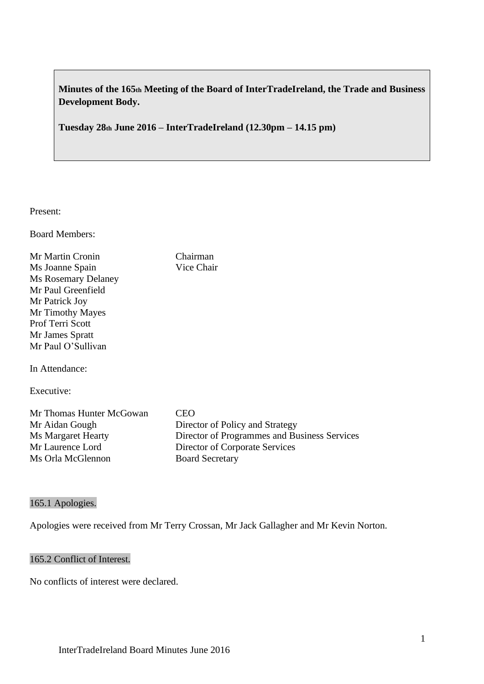**Minutes of the 165th Meeting of the Board of InterTradeIreland, the Trade and Business Development Body.**

**Tuesday 28th June 2016 – InterTradeIreland (12.30pm – 14.15 pm)**

Present:

Board Members:

Mr Martin Cronin Chairman Ms Joanne Spain Vice Chair Ms Rosemary Delaney Mr Paul Greenfield Mr Patrick Joy Mr Timothy Mayes Prof Terri Scott Mr James Spratt Mr Paul O'Sullivan

In Attendance:

Executive:

Mr Thomas Hunter McGowan CEO Mr Aidan Gough Director of Policy and Strategy Ms Margaret Hearty Director of Programmes and Business Services Mr Laurence Lord Director of Corporate Services Ms Orla McGlennon Board Secretary

### 165.1 Apologies.

Apologies were received from Mr Terry Crossan, Mr Jack Gallagher and Mr Kevin Norton.

### 165.2 Conflict of Interest.

No conflicts of interest were declared.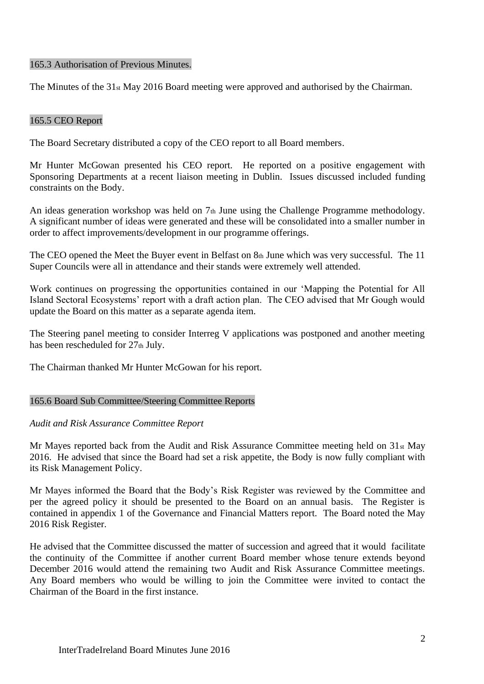#### 165.3 Authorisation of Previous Minutes.

The Minutes of the 31st May 2016 Board meeting were approved and authorised by the Chairman.

#### 165.5 CEO Report

The Board Secretary distributed a copy of the CEO report to all Board members.

Mr Hunter McGowan presented his CEO report. He reported on a positive engagement with Sponsoring Departments at a recent liaison meeting in Dublin. Issues discussed included funding constraints on the Body.

An ideas generation workshop was held on  $7<sub>th</sub>$  June using the Challenge Programme methodology. A significant number of ideas were generated and these will be consolidated into a smaller number in order to affect improvements/development in our programme offerings.

The CEO opened the Meet the Buyer event in Belfast on 8th June which was very successful. The 11 Super Councils were all in attendance and their stands were extremely well attended.

Work continues on progressing the opportunities contained in our 'Mapping the Potential for All Island Sectoral Ecosystems' report with a draft action plan. The CEO advised that Mr Gough would update the Board on this matter as a separate agenda item.

The Steering panel meeting to consider Interreg V applications was postponed and another meeting has been rescheduled for 27th July.

The Chairman thanked Mr Hunter McGowan for his report.

### 165.6 Board Sub Committee/Steering Committee Reports

*Audit and Risk Assurance Committee Report*

Mr Mayes reported back from the Audit and Risk Assurance Committee meeting held on 31st May 2016. He advised that since the Board had set a risk appetite, the Body is now fully compliant with its Risk Management Policy.

Mr Mayes informed the Board that the Body's Risk Register was reviewed by the Committee and per the agreed policy it should be presented to the Board on an annual basis. The Register is contained in appendix 1 of the Governance and Financial Matters report. The Board noted the May 2016 Risk Register.

He advised that the Committee discussed the matter of succession and agreed that it would facilitate the continuity of the Committee if another current Board member whose tenure extends beyond December 2016 would attend the remaining two Audit and Risk Assurance Committee meetings. Any Board members who would be willing to join the Committee were invited to contact the Chairman of the Board in the first instance.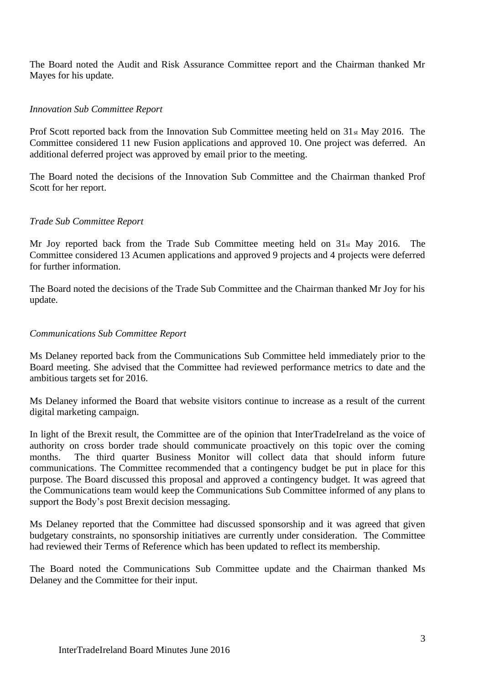The Board noted the Audit and Risk Assurance Committee report and the Chairman thanked Mr Mayes for his update.

## *Innovation Sub Committee Report*

Prof Scott reported back from the Innovation Sub Committee meeting held on 31st May 2016. The Committee considered 11 new Fusion applications and approved 10. One project was deferred. An additional deferred project was approved by email prior to the meeting.

The Board noted the decisions of the Innovation Sub Committee and the Chairman thanked Prof Scott for her report.

## *Trade Sub Committee Report*

Mr Joy reported back from the Trade Sub Committee meeting held on 31st May 2016. The Committee considered 13 Acumen applications and approved 9 projects and 4 projects were deferred for further information.

The Board noted the decisions of the Trade Sub Committee and the Chairman thanked Mr Joy for his update.

## *Communications Sub Committee Report*

Ms Delaney reported back from the Communications Sub Committee held immediately prior to the Board meeting. She advised that the Committee had reviewed performance metrics to date and the ambitious targets set for 2016.

Ms Delaney informed the Board that website visitors continue to increase as a result of the current digital marketing campaign.

In light of the Brexit result, the Committee are of the opinion that InterTradeIreland as the voice of authority on cross border trade should communicate proactively on this topic over the coming months. The third quarter Business Monitor will collect data that should inform future communications. The Committee recommended that a contingency budget be put in place for this purpose. The Board discussed this proposal and approved a contingency budget. It was agreed that the Communications team would keep the Communications Sub Committee informed of any plans to support the Body's post Brexit decision messaging.

Ms Delaney reported that the Committee had discussed sponsorship and it was agreed that given budgetary constraints, no sponsorship initiatives are currently under consideration. The Committee had reviewed their Terms of Reference which has been updated to reflect its membership.

The Board noted the Communications Sub Committee update and the Chairman thanked Ms Delaney and the Committee for their input.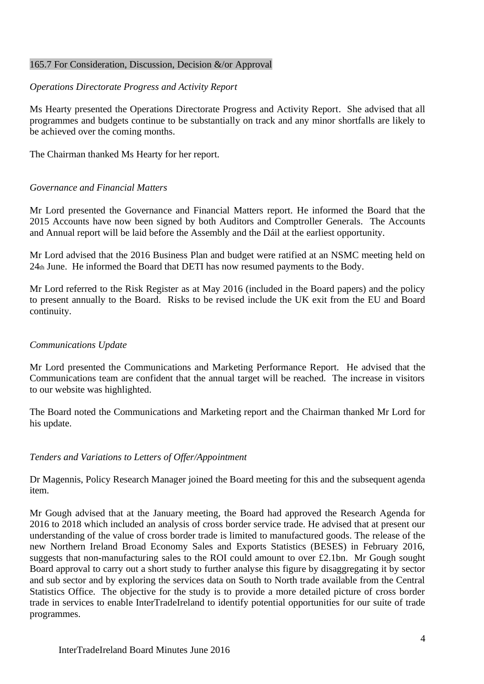#### 165.7 For Consideration, Discussion, Decision &/or Approval

### *Operations Directorate Progress and Activity Report*

Ms Hearty presented the Operations Directorate Progress and Activity Report. She advised that all programmes and budgets continue to be substantially on track and any minor shortfalls are likely to be achieved over the coming months.

The Chairman thanked Ms Hearty for her report.

#### *Governance and Financial Matters*

Mr Lord presented the Governance and Financial Matters report. He informed the Board that the 2015 Accounts have now been signed by both Auditors and Comptroller Generals. The Accounts and Annual report will be laid before the Assembly and the Dáil at the earliest opportunity.

Mr Lord advised that the 2016 Business Plan and budget were ratified at an NSMC meeting held on 24th June. He informed the Board that DETI has now resumed payments to the Body.

Mr Lord referred to the Risk Register as at May 2016 (included in the Board papers) and the policy to present annually to the Board. Risks to be revised include the UK exit from the EU and Board continuity.

#### *Communications Update*

Mr Lord presented the Communications and Marketing Performance Report. He advised that the Communications team are confident that the annual target will be reached. The increase in visitors to our website was highlighted.

The Board noted the Communications and Marketing report and the Chairman thanked Mr Lord for his update.

#### *Tenders and Variations to Letters of Offer/Appointment*

Dr Magennis, Policy Research Manager joined the Board meeting for this and the subsequent agenda item.

Mr Gough advised that at the January meeting, the Board had approved the Research Agenda for 2016 to 2018 which included an analysis of cross border service trade. He advised that at present our understanding of the value of cross border trade is limited to manufactured goods. The release of the new Northern Ireland Broad Economy Sales and Exports Statistics (BESES) in February 2016, suggests that non-manufacturing sales to the ROI could amount to over £2.1bn. Mr Gough sought Board approval to carry out a short study to further analyse this figure by disaggregating it by sector and sub sector and by exploring the services data on South to North trade available from the Central Statistics Office. The objective for the study is to provide a more detailed picture of cross border trade in services to enable InterTradeIreland to identify potential opportunities for our suite of trade programmes.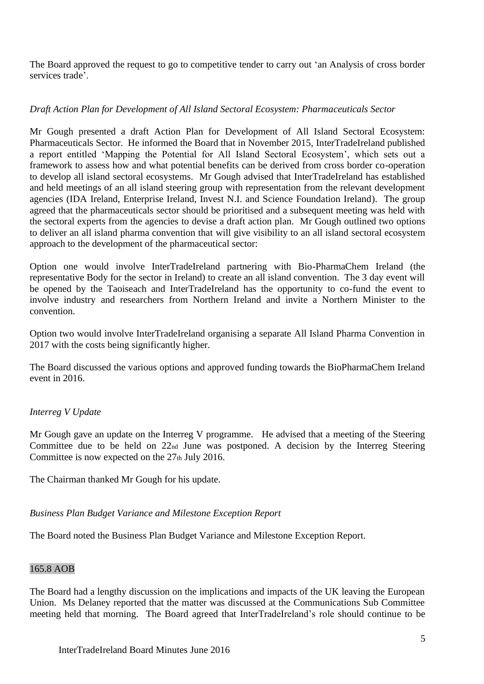The Board approved the request to go to competitive tender to carry out 'an Analysis of cross border services trade'.

# *Draft Action Plan for Development of All Island Sectoral Ecosystem: Pharmaceuticals Sector*

Mr Gough presented a draft Action Plan for Development of All Island Sectoral Ecosystem: Pharmaceuticals Sector. He informed the Board that in November 2015, InterTradeIreland published a report entitled 'Mapping the Potential for All Island Sectoral Ecosystem', which sets out a framework to assess how and what potential benefits can be derived from cross border co-operation to develop all island sectoral ecosystems. Mr Gough advised that InterTradeIreland has established and held meetings of an all island steering group with representation from the relevant development agencies (IDA Ireland, Enterprise Ireland, Invest N.I. and Science Foundation Ireland). The group agreed that the pharmaceuticals sector should be prioritised and a subsequent meeting was held with the sectoral experts from the agencies to devise a draft action plan. Mr Gough outlined two options to deliver an all island pharma convention that will give visibility to an all island sectoral ecosystem approach to the development of the pharmaceutical sector:

Option one would involve InterTradeIreland partnering with Bio-PharmaChem Ireland (the representative Body for the sector in Ireland) to create an all island convention. The 3 day event will be opened by the Taoiseach and InterTradeIreland has the opportunity to co-fund the event to involve industry and researchers from Northern Ireland and invite a Northern Minister to the convention.

Option two would involve InterTradeIreland organising a separate All Island Pharma Convention in 2017 with the costs being significantly higher.

The Board discussed the various options and approved funding towards the BioPharmaChem Ireland event in 2016.

# *Interreg V Update*

Mr Gough gave an update on the Interreg V programme. He advised that a meeting of the Steering Committee due to be held on 22nd June was postponed. A decision by the Interreg Steering Committee is now expected on the  $27<sub>th</sub>$  July 2016.

The Chairman thanked Mr Gough for his update.

# *Business Plan Budget Variance and Milestone Exception Report*

The Board noted the Business Plan Budget Variance and Milestone Exception Report.

# 165.8 AOB

The Board had a lengthy discussion on the implications and impacts of the UK leaving the European Union. Ms Delaney reported that the matter was discussed at the Communications Sub Committee meeting held that morning. The Board agreed that InterTradeIreland's role should continue to be